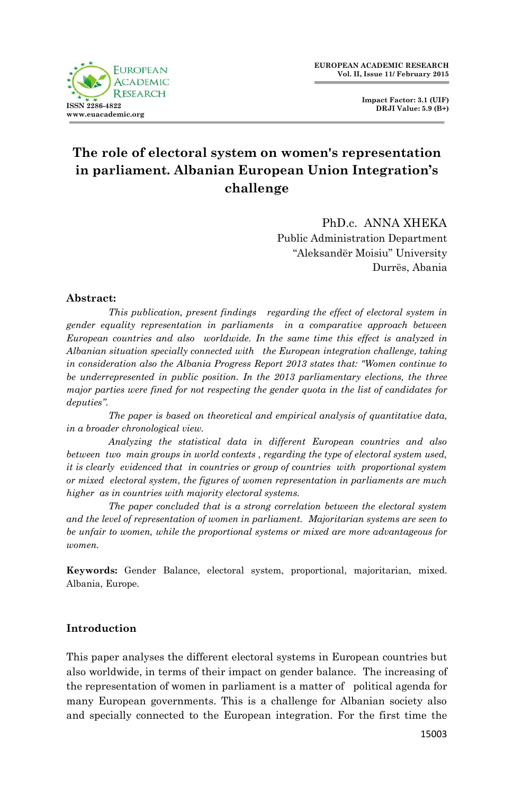

**Impact Factor: 3.1 (UIF) DRJI Value: 5.9 (B+)**

# **The role of electoral system on women's representation in parliament. Albanian European Union Integration's challenge**

PhD.c. ANNA XHEKA Public Administration Department "Aleksandër Moisiu" University Durrës, Abania

#### **Abstract:**

*This publication, present findings regarding the effect of electoral system in gender equality representation in parliaments in a comparative approach between European countries and also worldwide. In the same time this effect is analyzed in Albanian situation specially connected with the European integration challenge, taking in consideration also the Albania Progress Report 2013 states that: "Women continue to be underrepresented in public position. In the 2013 parliamentary elections, the three major parties were fined for not respecting the gender quota in the list of candidates for deputies".*

*The paper is based on theoretical and empirical analysis of quantitative data, in a broader chronological view.* 

*Analyzing the statistical data in different European countries and also between two main groups in world contexts , regarding the type of electoral system used, it is clearly evidenced that in countries or group of countries with proportional system or mixed electoral system, the figures of women representation in parliaments are much higher as in countries with majority electoral systems.* 

*The paper concluded that is a strong correlation between the electoral system and the level of representation of women in parliament. Majoritarian systems are seen to be unfair to women, while the proportional systems or mixed are more advantageous for women.*

**Keywords:** Gender Balance, electoral system, proportional, majoritarian, mixed. Albania, Europe.

## **Introduction**

This paper analyses the different electoral systems in European countries but also worldwide, in terms of their impact on gender balance. The increasing of the representation of women in parliament is a matter of political agenda for many European governments. This is a challenge for Albanian society also and specially connected to the European integration. For the first time the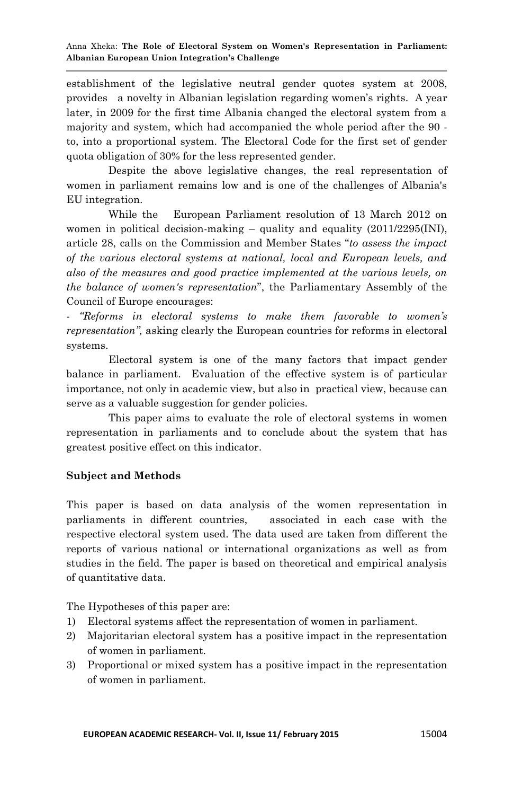establishment of the legislative neutral gender quotes system at 2008, provides a novelty in Albanian legislation regarding women"s rights. A year later, in 2009 for the first time Albania changed the electoral system from a majority and system, which had accompanied the whole period after the 90 to, into a proportional system. The Electoral Code for the first set of gender quota obligation of 30% for the less represented gender.

Despite the above legislative changes, the real representation of women in parliament remains low and is one of the challenges of Albania's EU integration.

While the European Parliament resolution of 13 March 2012 on women in political decision-making  $-$  quality and equality [\(2011/2295\(INI\),](http://www.europarl.europa.eu/oeil/FindByProcnum.do?lang=en&procnum=INI/2011/2295) article 28, calls on the Commission and Member States "*to assess the impact of the various electoral systems at national, local and European levels, and also of the measures and good practice implemented at the various levels, on the balance of women's representation*", the Parliamentary Assembly of the Council of Europe encourages:

*- "Reforms in electoral systems to make them favorable to women's representation",* asking clearly the European countries for reforms in electoral systems.

Electoral system is one of the many factors that impact gender balance in parliament. Evaluation of the effective system is of particular importance, not only in academic view, but also in practical view, because can serve as a valuable suggestion for gender policies.

This paper aims to evaluate the role of electoral systems in women representation in parliaments and to conclude about the system that has greatest positive effect on this indicator.

## **Subject and Methods**

This paper is based on data analysis of the women representation in parliaments in different countries, associated in each case with the respective electoral system used. The data used are taken from different the reports of various national or international organizations as well as from studies in the field. The paper is based on theoretical and empirical analysis of quantitative data.

The Hypotheses of this paper are:

- 1) Electoral systems affect the representation of women in parliament.
- 2) Majoritarian electoral system has a positive impact in the representation of women in parliament.
- 3) Proportional or mixed system has a positive impact in the representation of women in parliament.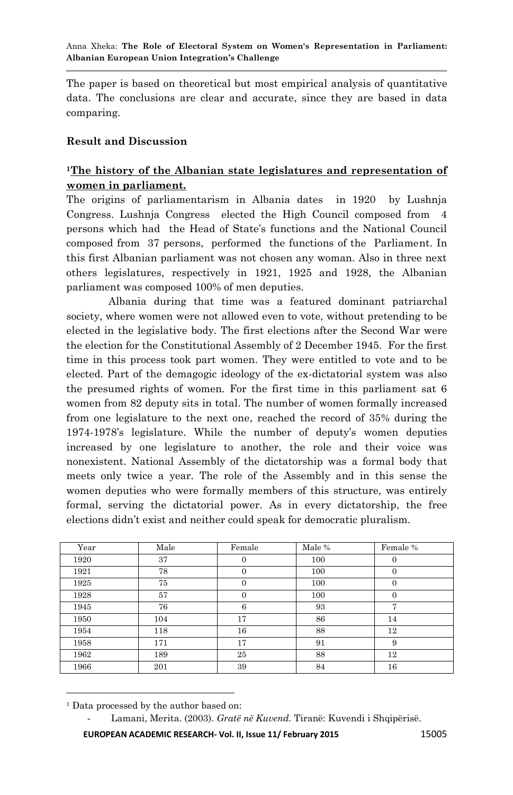The paper is based on theoretical but most empirical analysis of quantitative data. The conclusions are clear and accurate, since they are based in data comparing.

#### **Result and Discussion**

## **<sup>1</sup>The history of the Albanian state legislatures and representation of women in parliament.**

The origins of parliamentarism in Albania dates in 1920 by Lushnja Congress. Lushnja Congress elected the High Council composed from 4 persons which had the Head of State"s functions and the National Council composed from 37 persons, performed the functions of the Parliament. In this first Albanian parliament was not chosen any woman. Also in three next others legislatures, respectively in 1921, 1925 and 1928, the Albanian parliament was composed 100% of men deputies.

Albania during that time was a featured dominant patriarchal society, where women were not allowed even to vote, without pretending to be elected in the legislative body. The first elections after the Second War were the election for the Constitutional Assembly of 2 December 1945. For the first time in this process took part women. They were entitled to vote and to be elected. Part of the demagogic ideology of the ex-dictatorial system was also the presumed rights of women. For the first time in this parliament sat 6 women from 82 deputy sits in total. The number of women formally increased from one legislature to the next one, reached the record of 35% during the 1974-1978"s legislature. While the number of deputy"s women deputies increased by one legislature to another, the role and their voice was nonexistent. National Assembly of the dictatorship was a formal body that meets only twice a year. The role of the Assembly and in this sense the women deputies who were formally members of this structure, was entirely formal, serving the dictatorial power. As in every dictatorship, the free elections didn"t exist and neither could speak for democratic pluralism.

| Year | Male | Female   | Male % | Female %     |
|------|------|----------|--------|--------------|
| 1920 | 37   | 0        | 100    | $\mathbf{0}$ |
| 1921 | 78   | $\Omega$ | 100    | $\Omega$     |
| 1925 | 75   | 0        | 100    | $\Omega$     |
| 1928 | 57   | 0        | 100    | $\Omega$     |
| 1945 | 76   | 6        | 93     | 7            |
| 1950 | 104  | 17       | 86     | 14           |
| 1954 | 118  | 16       | 88     | 12           |
| 1958 | 171  | 17       | 91     | 9            |
| 1962 | 189  | 25       | 88     | 12           |
| 1966 | 201  | 39       | 84     | 16           |

1 <sup>1</sup> Data processed by the author based on:

- Lamani, Merita. (2003). *Gratë në Kuvend.* Tiranë: Kuvendi i Shqipërisë.

**EUROPEAN ACADEMIC RESEARCH- Vol. II, Issue 11/ February 2015** 15005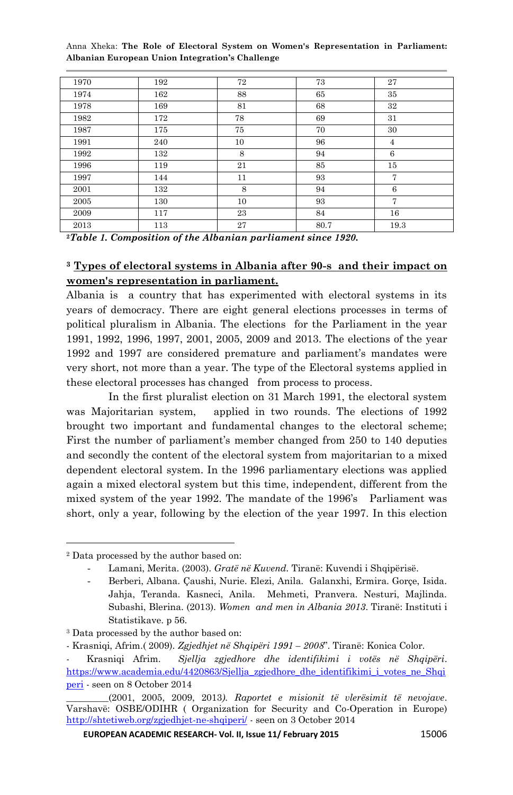| 1970 | 192 | 72 | 73   | 27             |
|------|-----|----|------|----------------|
| 1974 | 162 | 88 | 65   | 35             |
| 1978 | 169 | 81 | 68   | 32             |
| 1982 | 172 | 78 | 69   | 31             |
| 1987 | 175 | 75 | 70   | 30             |
| 1991 | 240 | 10 | 96   | 4              |
| 1992 | 132 | 8  | 94   | 6              |
| 1996 | 119 | 21 | 85   | 15             |
| 1997 | 144 | 11 | 93   | $\overline{7}$ |
| 2001 | 132 | 8  | 94   | 6              |
| 2005 | 130 | 10 | 93   | 7              |
| 2009 | 117 | 23 | 84   | 16             |
| 2013 | 113 | 27 | 80.7 | 19.3           |

**<sup>2</sup>***Table 1. Composition of the Albanian parliament since 1920.*

## **<sup>3</sup> Types of electoral systems in Albania after 90-s and their impact on women's representation in parliament.**

Albania is a country that has experimented with electoral systems in its years of democracy. There are eight general elections processes in terms of political pluralism in Albania. The elections for the Parliament in the year 1991, 1992, 1996, 1997, 2001, 2005, 2009 and 2013. The elections of the year 1992 and 1997 are considered premature and parliament's mandates were very short, not more than a year. The type of the Electoral systems applied in these electoral processes has changed from process to process.

In the first pluralist election on 31 March 1991, the electoral system was Majoritarian system, applied in two rounds. The elections of 1992 brought two important and fundamental changes to the electoral scheme; First the number of parliament's member changed from 250 to 140 deputies and secondly the content of the electoral system from majoritarian to a mixed dependent electoral system. In the 1996 parliamentary elections was applied again a mixed electoral system but this time, independent, different from the mixed system of the year 1992. The mandate of the 1996's Parliament was short, only a year, following by the election of the year 1997. In this election

**.** 

<sup>2</sup> Data processed by the author based on:

<sup>-</sup> Lamani, Merita. (2003). *Gratë në Kuvend.* Tiranë: Kuvendi i Shqipërisë.

<sup>-</sup> Berberi, Albana. Çaushi, Nurie. Elezi, Anila. Galanxhi, Ermira. Gorçe, Isida. Jahja, Teranda. Kasneci, Anila. Mehmeti, Pranvera. Nesturi, Majlinda. Subashi, Blerina. (2013). *Women and men in Albania 2013*. Tiranë: Instituti i Statistikave. p 56.

<sup>3</sup> Data processed by the author based on:

<sup>-</sup> Krasniqi, Afrim.( 2009). *Zgjedhjet në Shqipëri 1991 – 2008*". Tiranë: Konica Color.

<sup>-</sup> Krasniqi Afrim. *Sjellja zgjedhore dhe identifikimi i votës në Shqipëri*. [https://www.academia.edu/4420863/Sjellja\\_zgjedhore\\_dhe\\_identifikimi\\_i\\_votes\\_ne\\_Shqi](https://www.academia.edu/4420863/Sjellja_zgjedhore_dhe_identifikimi_i_votes_ne_Shqiperi) [peri](https://www.academia.edu/4420863/Sjellja_zgjedhore_dhe_identifikimi_i_votes_ne_Shqiperi) - seen on 8 October 2014

\_\_\_\_\_\_\_\_\_(2001, 2005, 2009, 2013*). Raportet e misionit të vlerësimit të nevojave*. Varshavë: OSBE/ODIHR ( Organization for Security and Co-Operation in Europe) <http://shtetiweb.org/zgjedhjet-ne-shqiperi/> - seen on 3 October 2014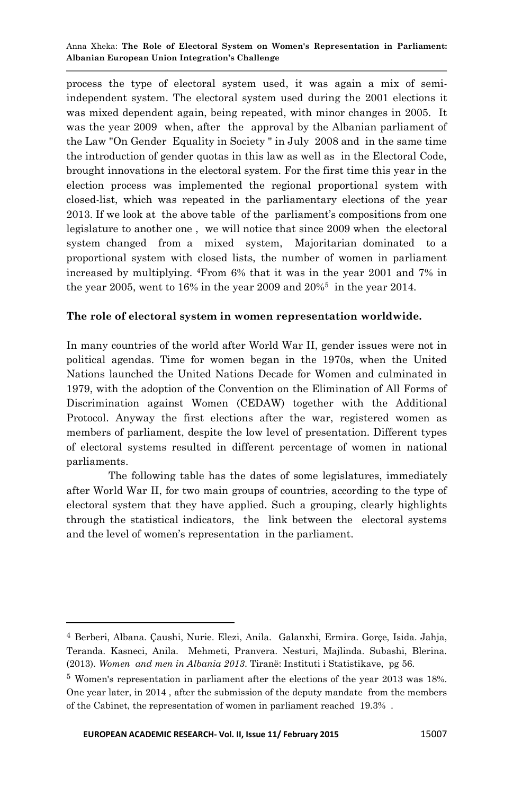process the type of electoral system used, it was again a mix of semiindependent system. The electoral system used during the 2001 elections it was mixed dependent again, being repeated, with minor changes in 2005. It was the year 2009 when, after the approval by the Albanian parliament of the Law "On Gender Equality in Society " in July 2008 and in the same time the introduction of gender quotas in this law as well as in the Electoral Code, brought innovations in the electoral system. For the first time this year in the election process was implemented the regional proportional system with closed-list, which was repeated in the parliamentary elections of the year 2013. If we look at the above table of the parliament"s compositions from one legislature to another one , we will notice that since 2009 when the electoral system changed from a mixed system, Majoritarian dominated to a proportional system with closed lists, the number of women in parliament increased by multiplying. <sup>4</sup>From 6% that it was in the year 2001 and 7% in the year 2005, went to 16% in the year 2009 and 20%<sup>5</sup> in the year 2014.

#### **The role of electoral system in women representation worldwide.**

In many countries of the world after World War II, gender issues were not in political agendas. Time for women began in the 1970s, when the United Nations launched the United Nations Decade for Women and culminated in 1979, with the adoption of the Convention on the Elimination of All Forms of Discrimination against Women (CEDAW) together with the Additional Protocol. Anyway the first elections after the war, registered women as members of parliament, despite the low level of presentation. Different types of electoral systems resulted in different percentage of women in national parliaments.

The following table has the dates of some legislatures, immediately after World War II, for two main groups of countries, according to the type of electoral system that they have applied. Such a grouping, clearly highlights through the statistical indicators, the link between the electoral systems and the level of women"s representation in the parliament.

**.** 

<sup>4</sup> Berberi, Albana. Çaushi, Nurie. Elezi, Anila. Galanxhi, Ermira. Gorçe, Isida. Jahja, Teranda. Kasneci, Anila. Mehmeti, Pranvera. Nesturi, Majlinda. Subashi, Blerina. (2013). *Women and men in Albania 2013*. Tiranë: Instituti i Statistikave, pg 56.

<sup>5</sup> Women's representation in parliament after the elections of the year 2013 was 18%. One year later, in 2014 , after the submission of the deputy mandate from the members of the Cabinet, the representation of women in parliament reached 19.3% .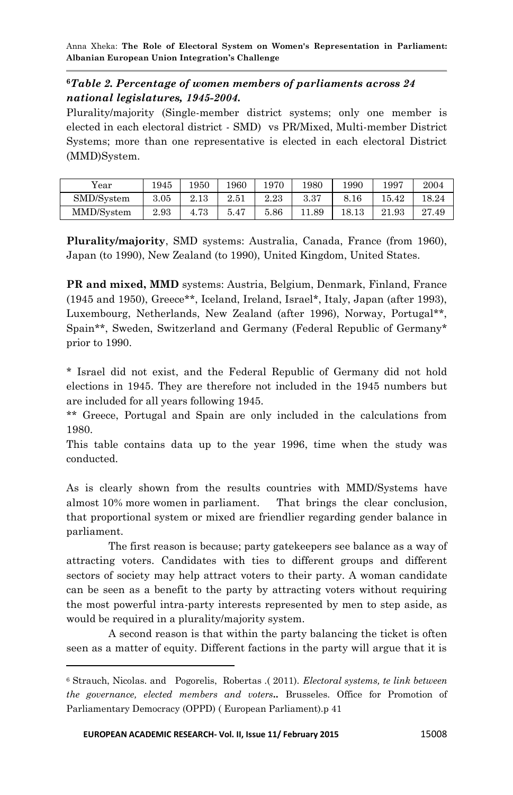#### **<sup>6</sup>***Table 2. Percentage of women members of parliaments across 24 national legislatures, 1945-2004.*

Plurality/majority (Single-member district systems; only one member is elected in each electoral district - SMD) vs PR/Mixed, Multi-member District Systems; more than one representative is elected in each electoral District (MMD)System.

| Year       | 1945 | 1950 | 1960 | 1970 | 1980 | 1990            | 1997  | 2004  |
|------------|------|------|------|------|------|-----------------|-------|-------|
| SMD/System | 3.05 | 2.13 | 2.51 | 2.23 | 3.37 | $\circ$<br>8.16 | 5.42  | 18.24 |
| MMD/System | 2.93 | 4.73 | 5.47 | 5.86 | .89  | 18.13           | 21.93 | 27.49 |

**Plurality/majority**, SMD systems: Australia, Canada, France (from 1960), Japan (to 1990), New Zealand (to 1990), United Kingdom, United States.

**PR and mixed, MMD** systems: Austria, Belgium, Denmark, Finland, France (1945 and 1950), Greece\*\*, Iceland, Ireland, Israel\*, Italy, Japan (after 1993), Luxembourg, Netherlands, New Zealand (after 1996), Norway, Portugal\*\*, Spain\*\*, Sweden, Switzerland and Germany (Federal Republic of Germany\* prior to 1990.

\* Israel did not exist, and the Federal Republic of Germany did not hold elections in 1945. They are therefore not included in the 1945 numbers but are included for all years following 1945.

\*\* Greece, Portugal and Spain are only included in the calculations from 1980.

This table contains data up to the year 1996, time when the study was conducted.

As is clearly shown from the results countries with MMD/Systems have almost 10% more women in parliament. That brings the clear conclusion, that proportional system or mixed are friendlier regarding gender balance in parliament.

The first reason is because; party gatekeepers see balance as a way of attracting voters. Candidates with ties to different groups and different sectors of society may help attract voters to their party. A woman candidate can be seen as a benefit to the party by attracting voters without requiring the most powerful intra-party interests represented by men to step aside, as would be required in a plurality/majority system.

A second reason is that within the party balancing the ticket is often seen as a matter of equity. Different factions in the party will argue that it is

-

<sup>6</sup> Strauch, Nicolas. and Pogorelis, Robertas .( 2011). *Electoral systems, te link between the governance, elected members and voters..* Brusseles. Office for Promotion of Parliamentary Democracy (OPPD) ( European Parliament).p 41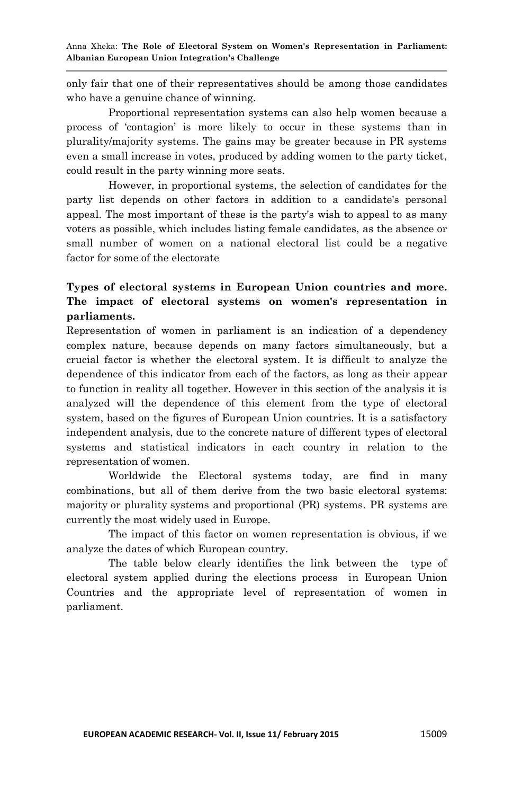only fair that one of their representatives should be among those candidates who have a genuine chance of winning.

Proportional representation systems can also help women because a process of "contagion" is more likely to occur in these systems than in plurality/majority systems. The gains may be greater because in PR systems even a small increase in votes, produced by adding women to the party ticket, could result in the party winning more seats.

However, in proportional systems, the selection of candidates for the party list depends on other factors in addition to a candidate's personal appeal. The most important of these is the party's wish to appeal to as many voters as possible, which includes listing female candidates, as the absence or small number of women on a national electoral list could be a negative factor for some of the electorate

## **Types of electoral systems in European Union countries and more. The impact of electoral systems on women's representation in parliaments.**

Representation of women in parliament is an indication of a dependency complex nature, because depends on many factors simultaneously, but a crucial factor is whether the electoral system. It is difficult to analyze the dependence of this indicator from each of the factors, as long as their appear to function in reality all together. However in this section of the analysis it is analyzed will the dependence of this element from the type of electoral system, based on the figures of European Union countries. It is a satisfactory independent analysis, due to the concrete nature of different types of electoral systems and statistical indicators in each country in relation to the representation of women.

Worldwide the Electoral systems today, are find in many combinations, but all of them derive from the two basic electoral systems: majority or plurality systems and proportional (PR) systems. PR systems are currently the most widely used in Europe.

The impact of this factor on women representation is obvious, if we analyze the dates of which European country.

The table below clearly identifies the link between the type of electoral system applied during the elections process in European Union Countries and the appropriate level of representation of women in parliament.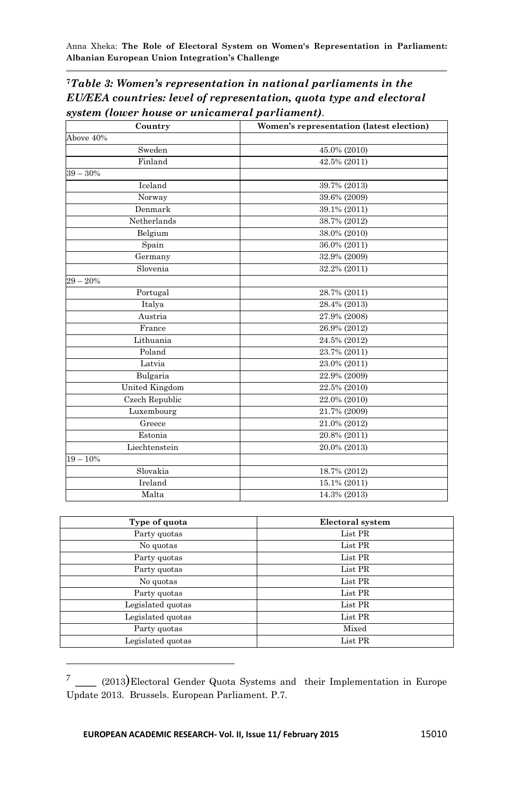**<sup>7</sup>***Table 3: Women's representation in national parliaments in the EU/EEA countries: level of representation, quota type and electoral system (lower house or unicameral parliament).*

| Country        | Women's representation (latest election) |  |  |
|----------------|------------------------------------------|--|--|
| Above 40%      |                                          |  |  |
| Sweden         | 45.0% (2010)                             |  |  |
| Finland        | 42.5% (2011)                             |  |  |
| $39 - 30%$     |                                          |  |  |
| Iceland        | 39.7% (2013)                             |  |  |
| Norway         | 39.6% (2009)                             |  |  |
| Denmark        | 39.1% (2011)                             |  |  |
| Netherlands    | 38.7% (2012)                             |  |  |
| Belgium        | 38.0% (2010)                             |  |  |
| Spain          | 36.0% (2011)                             |  |  |
| Germany        | 32.9% (2009)                             |  |  |
| Slovenia       | 32.2% (2011)                             |  |  |
| $29 - 20%$     |                                          |  |  |
| Portugal       | $28.7\% (2011)$                          |  |  |
| Italya         | 28.4% (2013)                             |  |  |
| Austria        | 27.9% (2008)                             |  |  |
| France         | 26.9% (2012)                             |  |  |
| Lithuania      | 24.5% (2012)                             |  |  |
| Poland         | 23.7% (2011)                             |  |  |
| Latvia         | 23.0% (2011)                             |  |  |
| Bulgaria       | 22.9% (2009)                             |  |  |
| United Kingdom | 22.5% (2010)                             |  |  |
| Czech Republic | 22.0% (2010)                             |  |  |
| Luxembourg     | 21.7% (2009)                             |  |  |
| Greece         | 21.0% (2012)                             |  |  |
| Estonia        | 20.8% (2011)                             |  |  |
| Liechtenstein  | 20.0% (2013)                             |  |  |
| $19 - 10%$     |                                          |  |  |
| Slovakia       | 18.7% (2012)                             |  |  |
| Ireland        | 15.1% (2011)                             |  |  |
| Malta          | 14.3% (2013)                             |  |  |
|                |                                          |  |  |
| Type of quota  | <b>Electoral</b> system                  |  |  |
| Party quotas   | List PR                                  |  |  |
| No quotas.     | $List$ PR                                |  |  |

| Type of quota     | Electoral system |
|-------------------|------------------|
| Party quotas      | List PR          |
| No quotas         | List PR          |
| Party quotas      | List PR          |
| Party quotas      | List PR          |
| No quotas         | List PR          |
| Party quotas      | List PR          |
| Legislated quotas | List PR          |
| Legislated quotas | List PR          |
| Party quotas      | Mixed            |
| Legislated quotas | List PR          |
|                   |                  |

<sup>&</sup>lt;sup>7</sup> \_\_\_ (2013)Electoral Gender Quota Systems and their Implementation in Europe Update 2013. Brussels. European Parliament. P.7.

**.**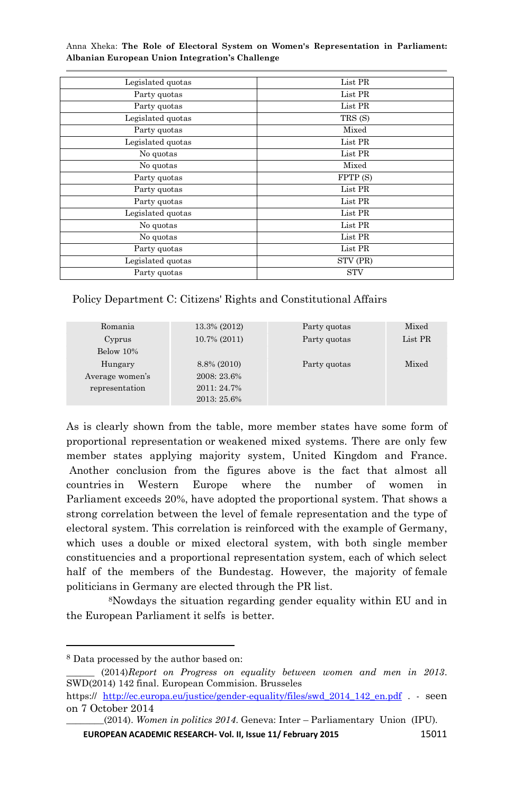| Legislated quotas | List PR    |
|-------------------|------------|
| Party quotas      | List PR    |
| Party quotas      | List PR    |
| Legislated quotas | TRS (S)    |
| Party quotas      | Mixed      |
| Legislated quotas | List PR    |
| No quotas         | List PR    |
| No quotas         | Mixed      |
| Party quotas      | FPTP (S)   |
| Party quotas      | List PR    |
| Party quotas      | List PR    |
| Legislated quotas | List PR    |
| No quotas         | List PR    |
| No quotas         | List PR    |
| Party quotas      | List PR    |
| Legislated quotas | STV (PR)   |
| Party quotas      | <b>STV</b> |

Policy Department C: Citizens' Rights and Constitutional Affairs

| Romania         | 13.3% (2012)    | Party quotas | Mixed   |
|-----------------|-----------------|--------------|---------|
| Cyprus          | $10.7\% (2011)$ | Party quotas | List PR |
| Below 10%       |                 |              |         |
| Hungary         | 8.8% (2010)     | Party quotas | Mixed   |
| Average women's | 2008: 23.6%     |              |         |
| representation  | $2011:24.7\%$   |              |         |
|                 | 2013: 25.6%     |              |         |

As is clearly shown from the table, more member states have some form of proportional representation or weakened mixed systems. There are only few member states applying majority system, United Kingdom and France. Another conclusion from the figures above is the fact that almost all countries in Western Europe where the number of women in Parliament exceeds 20%, have adopted the proportional system. That shows a strong correlation between the level of female representation and the type of electoral system. This correlation is reinforced with the example of Germany, which uses a double or mixed electoral system, with both single member constituencies and a proportional representation system, each of which select half of the members of the Bundestag. However, the majority of female politicians in Germany are elected through the PR list.

<sup>8</sup>Nowdays the situation regarding gender equality within EU and in the European Parliament it selfs is better.

**.** 

**EUROPEAN ACADEMIC RESEARCH- Vol. II, Issue 11/ February 2015** 15011

<sup>8</sup> Data processed by the author based on:

\_\_\_\_\_\_ (2014)*Report on Progress on equality between women and men in 2013*. SWD(2014) 142 final. European Commision. Brusseles

https:// [http://ec.europa.eu/justice/gender-equality/files/swd\\_2014\\_142\\_en.pdf](http://ec.europa.eu/justice/gender-equality/files/swd_2014_142_en.pdf) . - seen on 7 October 2014

\_\_\_\_\_\_\_\_(2014). *Women in politics 2014*. Geneva: Inter – Parliamentary Union (IPU).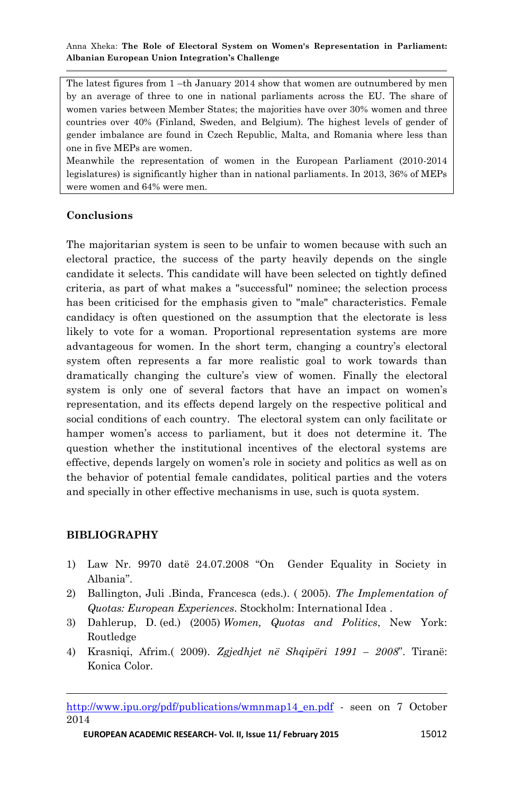The latest figures from 1 –th January 2014 show that women are outnumbered by men by an average of three to one in national parliaments across the EU. The share of women varies between Member States; the majorities have over 30% women and three countries over 40% (Finland, Sweden, and Belgium). The highest levels of gender of gender imbalance are found in Czech Republic, Malta, and Romania where less than one in five MEPs are women.

Meanwhile the representation of women in the European Parliament (2010-2014 legislatures) is significantly higher than in national parliaments. In 2013, 36% of MEPs were women and 64% were men.

#### **Conclusions**

The majoritarian system is seen to be unfair to women because with such an electoral practice, the success of the party heavily depends on the single candidate it selects. This candidate will have been selected on tightly defined criteria, as part of what makes a "successful" nominee; the selection process has been criticised for the emphasis given to "male" characteristics. Female candidacy is often questioned on the assumption that the electorate is less likely to vote for a woman. Proportional representation systems are more advantageous for women. In the short term, changing a country's electoral system often represents a far more realistic goal to work towards than dramatically changing the culture"s view of women. Finally the electoral system is only one of several factors that have an impact on women"s representation, and its effects depend largely on the respective political and social conditions of each country. The electoral system can only facilitate or hamper women"s access to parliament, but it does not determine it. The question whether the institutional incentives of the electoral systems are effective, depends largely on women"s role in society and politics as well as on the behavior of potential female candidates, political parties and the voters and specially in other effective mechanisms in use, such is quota system.

#### **BIBLIOGRAPHY**

-

- 1) Law Nr. 9970 datë 24.07.2008 "On Gender Equality in Society in Albania".
- 2) Ballington, Juli .Binda, Francesca (eds.). ( 2005). *The Implementation of Quotas: European Experiences*. Stockholm: International Idea .
- 3) Dahlerup, D. (ed.) (2005) *Women, Quotas and Politics*, New York: Routledge
- 4) Krasniqi, Afrim.( 2009). *Zgjedhjet në Shqipëri 1991 – 2008*". Tiranë: Konica Color.

[http://www.ipu.org/pdf/publications/wmnmap14\\_en.pdf](http://www.ipu.org/pdf/publications/wmnmap14_en.pdf) - seen on 7 October 2014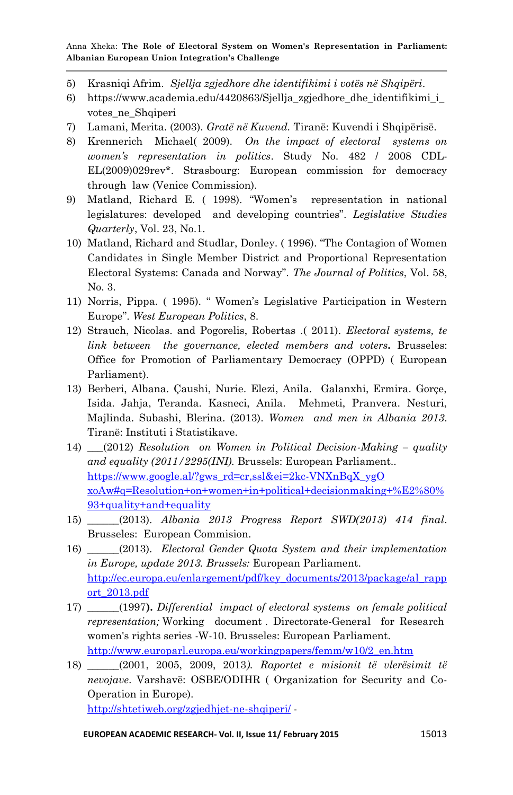- 5) Krasniqi Afrim. *Sjellja zgjedhore dhe identifikimi i votës në Shqipëri*.
- 6) https://www.academia.edu/4420863/Sjellia zgjedhore dhe identifikimi i votes\_ne\_Shqiperi
- 7) Lamani, Merita. (2003). *Gratë në Kuvend.* Tiranë: Kuvendi i Shqipërisë.
- 8) Krennerich Michael( 2009). *On the impact of electoral systems on women's representation in politics*. Study No. 482 / 2008 CDL-EL(2009)029rev\*. Strasbourg: European commission for democracy through law (Venice Commission).
- 9) Matland, Richard E. ( 1998). "Women"s representation in national legislatures: developed and developing countries". *Legislative Studies Quarterly*, Vol. 23, No.1.
- 10) Matland, Richard and Studlar, Donley. ( 1996). "The Contagion of Women Candidates in Single Member District and Proportional Representation Electoral Systems: Canada and Norway". *The Journal of Politics*, Vol. 58, No. 3.
- 11) Norris, Pippa. ( 1995). " Women"s Legislative Participation in Western Europe". *West European Politics*, 8.
- 12) Strauch, Nicolas. and Pogorelis, Robertas .( 2011). *Electoral systems, te link between the governance, elected members and voters.* Brusseles: Office for Promotion of Parliamentary Democracy (OPPD) ( European Parliament).
- 13) Berberi, Albana. Çaushi, Nurie. Elezi, Anila. Galanxhi, Ermira. Gorçe, Isida. Jahja, Teranda. Kasneci, Anila. Mehmeti, Pranvera. Nesturi, Majlinda. Subashi, Blerina. (2013). *Women and men in Albania 2013*. Tiranë: Instituti i Statistikave.
- 14) \_\_\_(2012) *Resolution on Women in Political Decision-Making – quality and equality [\(2011/2295\(INI\).](http://www.europarl.europa.eu/oeil/FindByProcnum.do?lang=en&procnum=INI/2011/2295)* Brussels: European Parliament.. [https://www.google.al/?gws\\_rd=cr,ssl&ei=2kc-VNXnBqX\\_ygO](https://www.google.al/?gws_rd=cr,ssl&ei=2kc-VNXnBqX_ygO%20xoAw#q=Resolution+on+women+in+political+decisionmaking+%E2%80%93+quality+and+equality)  [xoAw#q=Resolution+on+women+in+political+decisionmaking+%E2%80%](https://www.google.al/?gws_rd=cr,ssl&ei=2kc-VNXnBqX_ygO%20xoAw#q=Resolution+on+women+in+political+decisionmaking+%E2%80%93+quality+and+equality) [93+quality+and+equality](https://www.google.al/?gws_rd=cr,ssl&ei=2kc-VNXnBqX_ygO%20xoAw#q=Resolution+on+women+in+political+decisionmaking+%E2%80%93+quality+and+equality)
- 15) \_\_\_\_\_\_(2013). *Albania 2013 Progress Report SWD(2013) 414 final*. Brusseles: European Commision.
- 16) \_\_\_\_\_\_(2013). *Electoral Gender Quota System and their implementation in Europe, update 2013. Brussels:* European Parliament. [http://ec.europa.eu/enlargement/pdf/key\\_documents/2013/package/al\\_rapp](http://ec.europa.eu/enlargement/pdf/key_documents/2013/package/al_rapport_2013.pdf) [ort\\_2013.pdf](http://ec.europa.eu/enlargement/pdf/key_documents/2013/package/al_rapport_2013.pdf)
- 17) \_\_\_\_\_\_(1997**).** *Differential impact of electoral systems on female political representation;* Working document . Directorate-General for Research women's rights series -W-10. Brusseles: European Parliament. [http://www.europarl.europa.eu/workingpapers/femm/w10/2\\_en.htm](http://www.europarl.europa.eu/workingpapers/femm/w10/2_en.htm)
- 18) \_\_\_\_\_\_(2001, 2005, 2009, 2013*). Raportet e misionit të vlerësimit të nevojave*. Varshavë: OSBE/ODIHR ( Organization for Security and Co-Operation in Europe). <http://shtetiweb.org/zgjedhjet-ne-shqiperi/> -

**EUROPEAN ACADEMIC RESEARCH- Vol. II, Issue 11/ February 2015** 15013